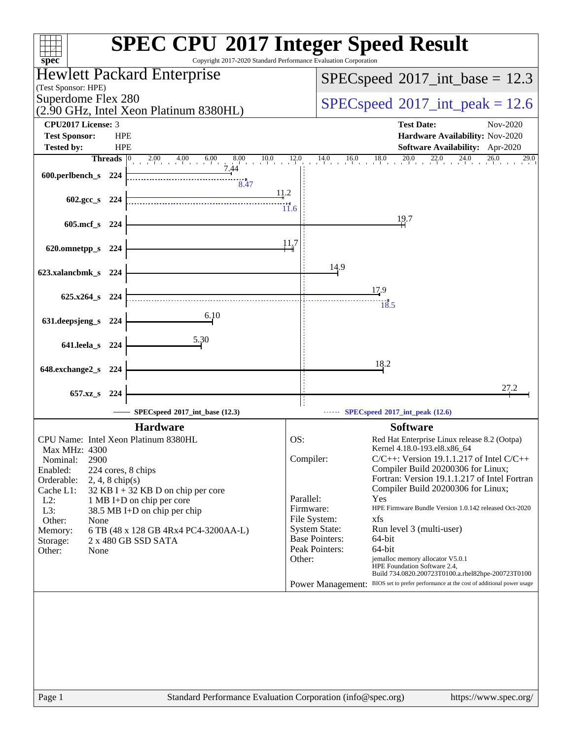| $spec^*$                                                                           | <b>SPEC CPU®2017 Integer Speed Result</b><br>Copyright 2017-2020 Standard Performance Evaluation Corporation                     |
|------------------------------------------------------------------------------------|----------------------------------------------------------------------------------------------------------------------------------|
| Hewlett Packard Enterprise                                                         | $SPEC speed^{\circ}2017\_int\_base = 12.3$                                                                                       |
| (Test Sponsor: HPE)<br>Superdome Flex 280                                          |                                                                                                                                  |
| (2.90 GHz, Intel Xeon Platinum 8380HL)                                             | $SPEC speed^{\circ}2017\_int\_peak = 12.6$                                                                                       |
| <b>CPU2017 License: 3</b>                                                          | <b>Test Date:</b><br>Nov-2020                                                                                                    |
| <b>HPE</b><br><b>Test Sponsor:</b><br><b>Tested by:</b><br><b>HPE</b>              | Hardware Availability: Nov-2020<br><b>Software Availability:</b> Apr-2020                                                        |
| 2.00 4.00 6.00 8.00 10.0 12.0<br><b>Threads</b>                                    | $14.0$ $16.0$ $18.0$ $20.0$ $22.0$ $24.0$ $26.0$<br>29.0                                                                         |
| 7.44<br>600.perlbench_s 224                                                        |                                                                                                                                  |
| 8.47                                                                               | <u>11.2</u>                                                                                                                      |
| 602.gcc_s 224                                                                      | $\ddot{11.6}$                                                                                                                    |
| 605.mcf_s 224                                                                      | 19.7                                                                                                                             |
|                                                                                    | 11.7                                                                                                                             |
| 620.omnetpp_s 224                                                                  |                                                                                                                                  |
| 623.xalancbmk_s 224                                                                | 14.9                                                                                                                             |
|                                                                                    | 17.9                                                                                                                             |
| 625.x264 s 224                                                                     | $\frac{13.5}{18.5}$                                                                                                              |
| 6.10<br>631.deepsjeng_s<br>-224                                                    |                                                                                                                                  |
| 5.30<br>641.leela_s 224                                                            |                                                                                                                                  |
|                                                                                    |                                                                                                                                  |
| 648.exchange2_s 224                                                                | 18.2                                                                                                                             |
| 657.xz <sub>_8</sub> 224                                                           | 27.2                                                                                                                             |
| SPECspeed®2017_int_base (12.3)                                                     | $\cdots$ SPECspeed <sup>®</sup> 2017_int_peak (12.6)                                                                             |
| <b>Hardware</b>                                                                    | <b>Software</b>                                                                                                                  |
| CPU Name: Intel Xeon Platinum 8380HL                                               | OS:<br>Red Hat Enterprise Linux release 8.2 (Ootpa)                                                                              |
| Max MHz: 4300<br>2900<br>Nominal:                                                  | Kernel 4.18.0-193.el8.x86_64<br>Compiler:<br>$C/C++$ : Version 19.1.1.217 of Intel $C/C++$                                       |
| Enabled:<br>224 cores, 8 chips                                                     | Compiler Build 20200306 for Linux;                                                                                               |
| Orderable:<br>$2, 4, 8$ chip(s)<br>Cache L1:<br>32 KB I + 32 KB D on chip per core | Fortran: Version 19.1.1.217 of Intel Fortran<br>Compiler Build 20200306 for Linux;                                               |
| $L2$ :<br>1 MB I+D on chip per core<br>L3:<br>38.5 MB I+D on chip per chip         | Parallel:<br>Yes<br>Firmware:<br>HPE Firmware Bundle Version 1.0.142 released Oct-2020                                           |
| Other:<br>None                                                                     | File System:<br>xfs                                                                                                              |
| 6 TB (48 x 128 GB 4Rx4 PC4-3200AA-L)<br>Memory:<br>2 x 480 GB SSD SATA<br>Storage: | <b>System State:</b><br>Run level 3 (multi-user)<br><b>Base Pointers:</b><br>64-bit                                              |
| Other:<br>None                                                                     | Peak Pointers:<br>64-bit                                                                                                         |
|                                                                                    | jemalloc memory allocator V5.0.1<br>Other:<br>HPE Foundation Software 2.4,<br>Build 734.0820.200723T0100.a.rhel82hpe-200723T0100 |
|                                                                                    | Power Management: BIOS set to prefer performance at the cost of additional power usage                                           |
|                                                                                    |                                                                                                                                  |
|                                                                                    |                                                                                                                                  |
|                                                                                    |                                                                                                                                  |
|                                                                                    |                                                                                                                                  |
|                                                                                    |                                                                                                                                  |
|                                                                                    |                                                                                                                                  |
| Page 1                                                                             | Standard Performance Evaluation Corporation (info@spec.org)<br>https://www.spec.org/                                             |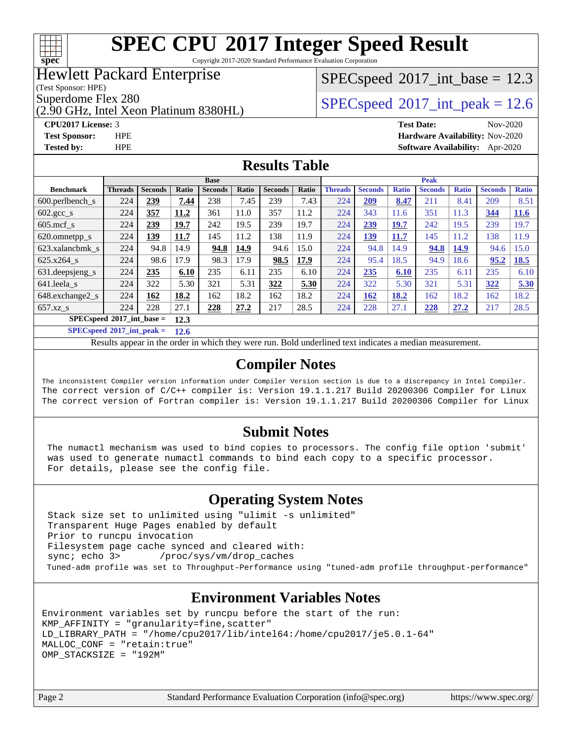

Copyright 2017-2020 Standard Performance Evaluation Corporation

## Hewlett Packard Enterprise

(Test Sponsor: HPE)

(2.90 GHz, Intel Xeon Platinum 8380HL)

 $SPECspeed^{\circ}2017\_int\_base = 12.3$  $SPECspeed^{\circ}2017\_int\_base = 12.3$ 

Superdome Flex 280<br>  $SPECspeed^{\circ}2017$  $SPECspeed^{\circ}2017$ \_int\_peak = 12.6

**[CPU2017 License:](http://www.spec.org/auto/cpu2017/Docs/result-fields.html#CPU2017License)** 3 **[Test Date:](http://www.spec.org/auto/cpu2017/Docs/result-fields.html#TestDate)** Nov-2020 **[Test Sponsor:](http://www.spec.org/auto/cpu2017/Docs/result-fields.html#TestSponsor)** HPE **[Hardware Availability:](http://www.spec.org/auto/cpu2017/Docs/result-fields.html#HardwareAvailability)** Nov-2020 **[Tested by:](http://www.spec.org/auto/cpu2017/Docs/result-fields.html#Testedby)** HPE **[Software Availability:](http://www.spec.org/auto/cpu2017/Docs/result-fields.html#SoftwareAvailability)** Apr-2020

## **[Results Table](http://www.spec.org/auto/cpu2017/Docs/result-fields.html#ResultsTable)**

|                                      | <b>Base</b>    |                |       |                |       | <b>Peak</b>    |       |                |                |              |                |              |                |              |
|--------------------------------------|----------------|----------------|-------|----------------|-------|----------------|-------|----------------|----------------|--------------|----------------|--------------|----------------|--------------|
| <b>Benchmark</b>                     | <b>Threads</b> | <b>Seconds</b> | Ratio | <b>Seconds</b> | Ratio | <b>Seconds</b> | Ratio | <b>Threads</b> | <b>Seconds</b> | <b>Ratio</b> | <b>Seconds</b> | <b>Ratio</b> | <b>Seconds</b> | <b>Ratio</b> |
| 600.perlbench s                      | 224            | 239            | 7.44  | 238            | 7.45  | 239            | 7.43  | 224            | 209            | 8.47         | 211            | 8.41         | 209            | 8.51         |
| $602 \text{.} \text{gcc}\text{_<}$ s | 224            | 357            | 11.2  | 361            | 11.0  | 357            | 11.2  | 224            | 343            | 11.6         | 351            | 11.3         | 344            | <b>11.6</b>  |
| $605$ .mcf s                         | 224            | 239            | 19.7  | 242            | 19.5  | 239            | 19.7  | 224            | 239            | 19.7         | 242            | 19.5         | 239            | 19.7         |
| 620.omnetpp_s                        | 224            | 139            | 11.7  | 145            | 11.2  | 138            | 11.9  | 224            | <u>139</u>     | 11.7         | 145            | 11.2         | 138            | 11.9         |
| 623.xalancbmk s                      | 224            | 94.8           | 14.9  | 94.8           | 14.9  | 94.6           | 15.0  | 224            | 94.8           | 14.9         | 94.8           | 14.9         | 94.6           | 15.0         |
| 625.x264 s                           | 224            | 98.6           | 17.9  | 98.3           | 17.9  | 98.5           | 17.9  | 224            | 95.4           | 18.5         | 94.9           | 18.6         | 95.2           | <b>18.5</b>  |
| 631. deepsieng s                     | 224            | 235            | 6.10  | 235            | 6.11  | 235            | 6.10  | 224            | 235            | 6.10         | 235            | 6.11         | 235            | 6.10         |
| 641.leela s                          | 224            | 322            | 5.30  | 321            | 5.31  | 322            | 5.30  | 224            | 322            | 5.30         | 321            | 5.31         | 322            | 5.30         |
| 648.exchange2_s                      | 224            | 162            | 18.2  | 162            | 18.2  | 162            | 18.2  | 224            | 162            | 18.2         | 162            | 18.2         | 162            | 18.2         |
| $657.xz$ s                           | 224            | 228            | 27.1  | 228            | 27.2  | 217            | 28.5  | 224            | 228            | 27.1         | 228            | 27.2         | 217            | 28.5         |
| $SPECspeed*2017\_int\_base =$        |                |                | 12.3  |                |       |                |       |                |                |              |                |              |                |              |

**[SPECspeed](http://www.spec.org/auto/cpu2017/Docs/result-fields.html#SPECspeed2017intpeak)[2017\\_int\\_peak =](http://www.spec.org/auto/cpu2017/Docs/result-fields.html#SPECspeed2017intpeak) 12.6**

Results appear in the [order in which they were run.](http://www.spec.org/auto/cpu2017/Docs/result-fields.html#RunOrder) Bold underlined text [indicates a median measurement](http://www.spec.org/auto/cpu2017/Docs/result-fields.html#Median).

## **[Compiler Notes](http://www.spec.org/auto/cpu2017/Docs/result-fields.html#CompilerNotes)**

The inconsistent Compiler version information under Compiler Version section is due to a discrepancy in Intel Compiler. The correct version of C/C++ compiler is: Version 19.1.1.217 Build 20200306 Compiler for Linux The correct version of Fortran compiler is: Version 19.1.1.217 Build 20200306 Compiler for Linux

## **[Submit Notes](http://www.spec.org/auto/cpu2017/Docs/result-fields.html#SubmitNotes)**

 The numactl mechanism was used to bind copies to processors. The config file option 'submit' was used to generate numactl commands to bind each copy to a specific processor. For details, please see the config file.

## **[Operating System Notes](http://www.spec.org/auto/cpu2017/Docs/result-fields.html#OperatingSystemNotes)**

 Stack size set to unlimited using "ulimit -s unlimited" Transparent Huge Pages enabled by default Prior to runcpu invocation Filesystem page cache synced and cleared with: sync; echo 3> /proc/sys/vm/drop\_caches Tuned-adm profile was set to Throughput-Performance using "tuned-adm profile throughput-performance"

## **[Environment Variables Notes](http://www.spec.org/auto/cpu2017/Docs/result-fields.html#EnvironmentVariablesNotes)**

```
Environment variables set by runcpu before the start of the run:
KMP_AFFINITY = "granularity=fine,scatter"
LD_LIBRARY_PATH = "/home/cpu2017/lib/intel64:/home/cpu2017/je5.0.1-64"
MALLOC_CONF = "retain:true"
OMP_STACKSIZE = "192M"
```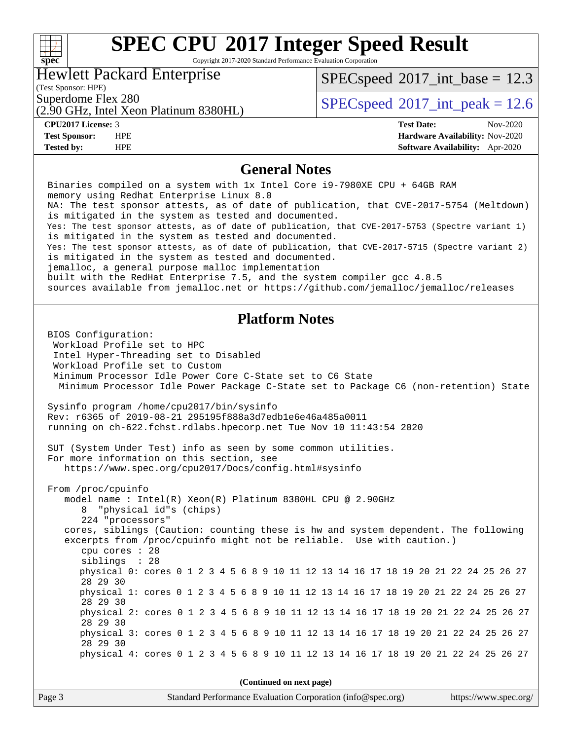### **[SPEC CPU](http://www.spec.org/auto/cpu2017/Docs/result-fields.html#SPECCPU2017IntegerSpeedResult)[2017 Integer Speed Result](http://www.spec.org/auto/cpu2017/Docs/result-fields.html#SPECCPU2017IntegerSpeedResult)** Copyright 2017-2020 Standard Performance Evaluation Corporation Hewlett Packard Enterprise  $SPECspeed^{\circledcirc}2017\_int\_base = 12.3$  $SPECspeed^{\circledcirc}2017\_int\_base = 12.3$

(Test Sponsor: HPE)

(2.90 GHz, Intel Xeon Platinum 8380HL) Superdome Flex 280<br>  $SPEC speed^{\circ}2017$ \_int\_peak = 12.6

**[spec](http://www.spec.org/)**

 $\pm$ 

**[Test Sponsor:](http://www.spec.org/auto/cpu2017/Docs/result-fields.html#TestSponsor)** HPE **[Hardware Availability:](http://www.spec.org/auto/cpu2017/Docs/result-fields.html#HardwareAvailability)** Nov-2020 **[Tested by:](http://www.spec.org/auto/cpu2017/Docs/result-fields.html#Testedby)** HPE **[Software Availability:](http://www.spec.org/auto/cpu2017/Docs/result-fields.html#SoftwareAvailability)** Apr-2020

**[CPU2017 License:](http://www.spec.org/auto/cpu2017/Docs/result-fields.html#CPU2017License)** 3 **[Test Date:](http://www.spec.org/auto/cpu2017/Docs/result-fields.html#TestDate)** Nov-2020

## **[General Notes](http://www.spec.org/auto/cpu2017/Docs/result-fields.html#GeneralNotes)**

 Binaries compiled on a system with 1x Intel Core i9-7980XE CPU + 64GB RAM memory using Redhat Enterprise Linux 8.0 NA: The test sponsor attests, as of date of publication, that CVE-2017-5754 (Meltdown) is mitigated in the system as tested and documented. Yes: The test sponsor attests, as of date of publication, that CVE-2017-5753 (Spectre variant 1) is mitigated in the system as tested and documented. Yes: The test sponsor attests, as of date of publication, that CVE-2017-5715 (Spectre variant 2) is mitigated in the system as tested and documented. jemalloc, a general purpose malloc implementation built with the RedHat Enterprise 7.5, and the system compiler gcc 4.8.5 sources available from jemalloc.net or<https://github.com/jemalloc/jemalloc/releases> **[Platform Notes](http://www.spec.org/auto/cpu2017/Docs/result-fields.html#PlatformNotes)** BIOS Configuration: Workload Profile set to HPC Intel Hyper-Threading set to Disabled Workload Profile set to Custom Minimum Processor Idle Power Core C-State set to C6 State Minimum Processor Idle Power Package C-State set to Package C6 (non-retention) State Sysinfo program /home/cpu2017/bin/sysinfo Rev: r6365 of 2019-08-21 295195f888a3d7edb1e6e46a485a0011 running on ch-622.fchst.rdlabs.hpecorp.net Tue Nov 10 11:43:54 2020 SUT (System Under Test) info as seen by some common utilities. For more information on this section, see <https://www.spec.org/cpu2017/Docs/config.html#sysinfo> From /proc/cpuinfo model name : Intel(R) Xeon(R) Platinum 8380HL CPU @ 2.90GHz 8 "physical id"s (chips) 224 "processors" cores, siblings (Caution: counting these is hw and system dependent. The following excerpts from /proc/cpuinfo might not be reliable. Use with caution.) cpu cores : 28 siblings : 28 physical 0: cores 0 1 2 3 4 5 6 8 9 10 11 12 13 14 16 17 18 19 20 21 22 24 25 26 27 28 29 30 physical 1: cores 0 1 2 3 4 5 6 8 9 10 11 12 13 14 16 17 18 19 20 21 22 24 25 26 27 28 29 30 physical 2: cores 0 1 2 3 4 5 6 8 9 10 11 12 13 14 16 17 18 19 20 21 22 24 25 26 27 28 29 30 physical 3: cores 0 1 2 3 4 5 6 8 9 10 11 12 13 14 16 17 18 19 20 21 22 24 25 26 27 28 29 30 physical 4: cores 0 1 2 3 4 5 6 8 9 10 11 12 13 14 16 17 18 19 20 21 22 24 25 26 27 **(Continued on next page)**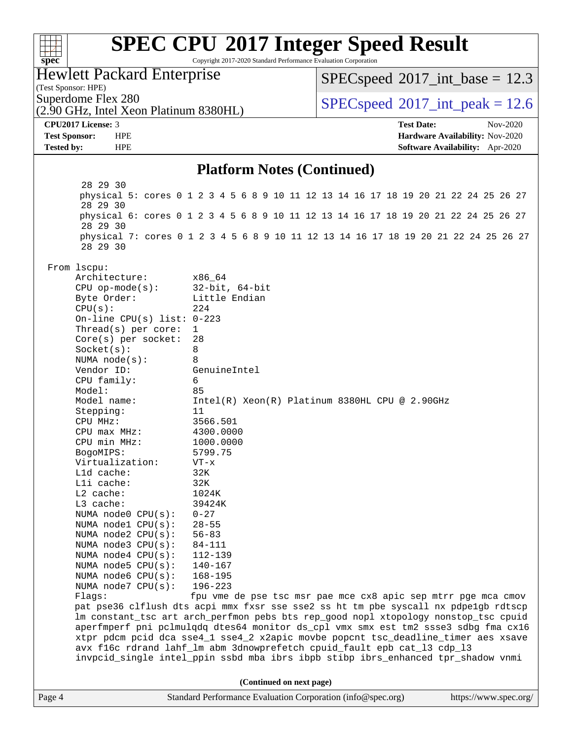| $spec^*$                                                 | Copyright 2017-2020 Standard Performance Evaluation Corporation | <b>SPEC CPU®2017 Integer Speed Result</b>                                                                                                                                  |  |
|----------------------------------------------------------|-----------------------------------------------------------------|----------------------------------------------------------------------------------------------------------------------------------------------------------------------------|--|
| <b>Hewlett Packard Enterprise</b><br>(Test Sponsor: HPE) |                                                                 | $SPEC speed^{\circ}2017\_int\_base = 12.3$                                                                                                                                 |  |
| Superdome Flex 280                                       |                                                                 | $SPEC speed^{\circ}2017\_int\_peak = 12.6$                                                                                                                                 |  |
| (2.90 GHz, Intel Xeon Platinum 8380HL)                   |                                                                 |                                                                                                                                                                            |  |
| CPU2017 License: 3                                       |                                                                 | <b>Test Date:</b><br>Nov-2020                                                                                                                                              |  |
| <b>Test Sponsor:</b><br><b>HPE</b>                       |                                                                 | Hardware Availability: Nov-2020                                                                                                                                            |  |
| <b>Tested by:</b><br><b>HPE</b>                          |                                                                 | Software Availability: Apr-2020                                                                                                                                            |  |
|                                                          | <b>Platform Notes (Continued)</b>                               |                                                                                                                                                                            |  |
| 28 29 30<br>28 29 30                                     |                                                                 | physical 5: cores 0 1 2 3 4 5 6 8 9 10 11 12 13 14 16 17 18 19 20 21 22 24 25 26 27                                                                                        |  |
| 28 29 30                                                 |                                                                 | physical 6: cores 0 1 2 3 4 5 6 8 9 10 11 12 13 14 16 17 18 19 20 21 22 24 25 26 27                                                                                        |  |
| 28 29 30                                                 |                                                                 | physical 7: cores 0 1 2 3 4 5 6 8 9 10 11 12 13 14 16 17 18 19 20 21 22 24 25 26 27                                                                                        |  |
| From lscpu:                                              |                                                                 |                                                                                                                                                                            |  |
| Architecture:                                            | x86_64                                                          |                                                                                                                                                                            |  |
| $CPU$ op-mode( $s$ ):                                    | $32$ -bit, $64$ -bit                                            |                                                                                                                                                                            |  |
| Byte Order:<br>CPU(s):                                   | Little Endian<br>224                                            |                                                                                                                                                                            |  |
| On-line CPU(s) list: $0-223$                             |                                                                 |                                                                                                                                                                            |  |
| Thread(s) per core:                                      | 1                                                               |                                                                                                                                                                            |  |
| $Core(s)$ per socket:                                    | 28                                                              |                                                                                                                                                                            |  |
| Socket(s):                                               | 8                                                               |                                                                                                                                                                            |  |
| NUMA $node(s)$ :                                         | 8                                                               |                                                                                                                                                                            |  |
| Vendor ID:<br>CPU family:                                | GenuineIntel<br>6                                               |                                                                                                                                                                            |  |
| Model:                                                   | 85                                                              |                                                                                                                                                                            |  |
| Model name:                                              |                                                                 | Intel(R) Xeon(R) Platinum 8380HL CPU @ 2.90GHz                                                                                                                             |  |
| Stepping:                                                | 11                                                              |                                                                                                                                                                            |  |
| CPU MHz:                                                 | 3566.501                                                        |                                                                                                                                                                            |  |
| $CPU$ max $MHz$ :                                        | 4300.0000                                                       |                                                                                                                                                                            |  |
| CPU min MHz:                                             | 1000.0000                                                       |                                                                                                                                                                            |  |
| BogoMIPS:<br>Virtualization:                             | 5799.75<br>VT-x                                                 |                                                                                                                                                                            |  |
| Lld cache:                                               | 32K                                                             |                                                                                                                                                                            |  |
| Lli cache:                                               | 32K                                                             |                                                                                                                                                                            |  |
| $L2$ cache:                                              | 1024K                                                           |                                                                                                                                                                            |  |
| L3 cache:                                                | 39424K                                                          |                                                                                                                                                                            |  |
| NUMA node0 CPU(s):                                       | $0 - 27$                                                        |                                                                                                                                                                            |  |
| NUMA node1 CPU(s):<br>NUMA node2 CPU(s):                 | $28 - 55$<br>$56 - 83$                                          |                                                                                                                                                                            |  |
| NUMA node3 CPU(s):                                       | 84-111                                                          |                                                                                                                                                                            |  |
| NUMA $node4$ $CPU(s):$                                   | 112-139                                                         |                                                                                                                                                                            |  |
| NUMA node5 CPU(s):                                       | $140 - 167$                                                     |                                                                                                                                                                            |  |
| NUMA node6 CPU(s):                                       | $168 - 195$                                                     |                                                                                                                                                                            |  |
| NUMA node7 CPU(s):                                       | $196 - 223$                                                     |                                                                                                                                                                            |  |
| Flags:                                                   |                                                                 | fpu vme de pse tsc msr pae mce cx8 apic sep mtrr pge mca cmov                                                                                                              |  |
|                                                          |                                                                 | pat pse36 clflush dts acpi mmx fxsr sse sse2 ss ht tm pbe syscall nx pdpelgb rdtscp<br>lm constant_tsc art arch_perfmon pebs bts rep_good nopl xtopology nonstop_tsc cpuid |  |
|                                                          |                                                                 | aperfmperf pni pclmulqdq dtes64 monitor ds_cpl vmx smx est tm2 ssse3 sdbg fma cx16                                                                                         |  |
|                                                          |                                                                 | xtpr pdcm pcid dca sse4_1 sse4_2 x2apic movbe popcnt tsc_deadline_timer aes xsave                                                                                          |  |
|                                                          |                                                                 | avx f16c rdrand lahf_lm abm 3dnowprefetch cpuid_fault epb cat_13 cdp_13<br>invpcid_single intel_ppin ssbd mba ibrs ibpb stibp ibrs_enhanced tpr_shadow vnmi                |  |
|                                                          | (Continued on next page)                                        |                                                                                                                                                                            |  |
| Page 4                                                   | Standard Performance Evaluation Corporation (info@spec.org)     | https://www.spec.org/                                                                                                                                                      |  |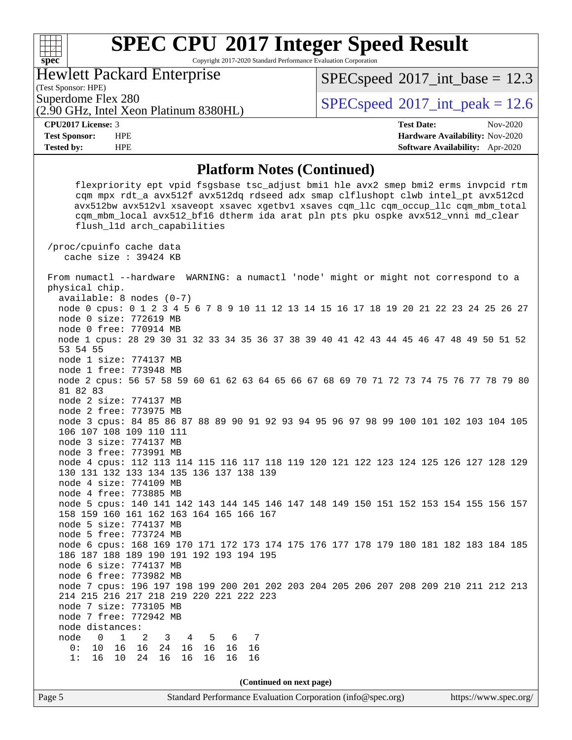Copyright 2017-2020 Standard Performance Evaluation Corporation

Hewlett Packard Enterprise

(2.90 GHz, Intel Xeon Platinum 8380HL)

 $SPECspeed^{\circ}2017\_int\_base = 12.3$  $SPECspeed^{\circ}2017\_int\_base = 12.3$ 

(Test Sponsor: HPE)

**[spec](http://www.spec.org/)**

 $\begin{matrix} & \ + \ + \end{matrix}$ 

Superdome Flex 280  $SPEC speed^{\circ}2017$ \_int\_peak = 12.6

**[Tested by:](http://www.spec.org/auto/cpu2017/Docs/result-fields.html#Testedby)** HPE **[Software Availability:](http://www.spec.org/auto/cpu2017/Docs/result-fields.html#SoftwareAvailability)** Apr-2020

**[CPU2017 License:](http://www.spec.org/auto/cpu2017/Docs/result-fields.html#CPU2017License)** 3 **[Test Date:](http://www.spec.org/auto/cpu2017/Docs/result-fields.html#TestDate)** Nov-2020 **[Test Sponsor:](http://www.spec.org/auto/cpu2017/Docs/result-fields.html#TestSponsor)** HPE **[Hardware Availability:](http://www.spec.org/auto/cpu2017/Docs/result-fields.html#HardwareAvailability)** Nov-2020

### **[Platform Notes \(Continued\)](http://www.spec.org/auto/cpu2017/Docs/result-fields.html#PlatformNotes)**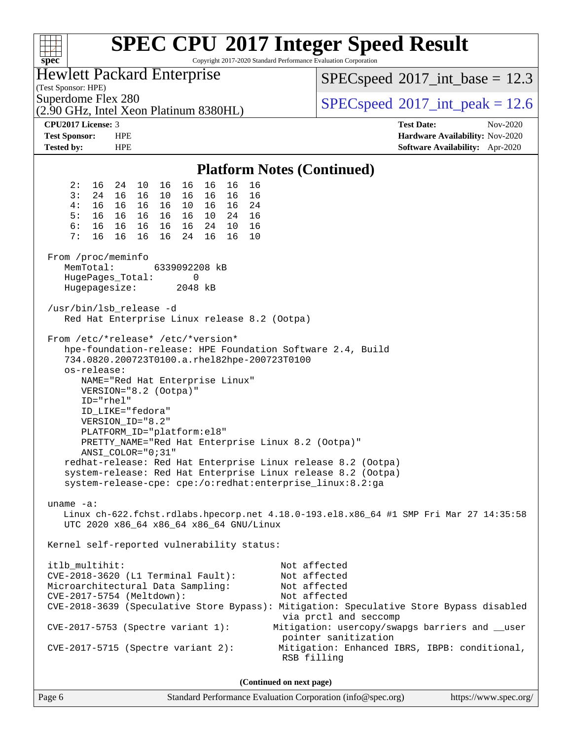| F T T T<br>spec <sup>®</sup>                                                                                                                                                                           |                                                                                                                        |                    |                                            | Copyright 2017-2020 Standard Performance Evaluation Corporation                                    | <b>SPEC CPU®2017 Integer Speed Result</b>                                                                                                                                                                                                               |                   |                                                                    |
|--------------------------------------------------------------------------------------------------------------------------------------------------------------------------------------------------------|------------------------------------------------------------------------------------------------------------------------|--------------------|--------------------------------------------|----------------------------------------------------------------------------------------------------|---------------------------------------------------------------------------------------------------------------------------------------------------------------------------------------------------------------------------------------------------------|-------------------|--------------------------------------------------------------------|
| <b>Hewlett Packard Enterprise</b><br>(Test Sponsor: HPE)                                                                                                                                               |                                                                                                                        |                    | $SPEC speed^{\circ}2017\_int\_base = 12.3$ |                                                                                                    |                                                                                                                                                                                                                                                         |                   |                                                                    |
| Superdome Flex 280<br>(2.90 GHz, Intel Xeon Platinum 8380HL)                                                                                                                                           |                                                                                                                        |                    |                                            |                                                                                                    | $SPEC speed^{\circ}2017\_int\_peak = 12.6$                                                                                                                                                                                                              |                   |                                                                    |
| CPU2017 License: 3                                                                                                                                                                                     |                                                                                                                        |                    |                                            |                                                                                                    |                                                                                                                                                                                                                                                         | <b>Test Date:</b> | Nov-2020                                                           |
| <b>Test Sponsor:</b><br><b>Tested by:</b>                                                                                                                                                              | <b>HPE</b><br><b>HPE</b>                                                                                               |                    |                                            |                                                                                                    |                                                                                                                                                                                                                                                         |                   | Hardware Availability: Nov-2020<br>Software Availability: Apr-2020 |
|                                                                                                                                                                                                        |                                                                                                                        |                    |                                            |                                                                                                    |                                                                                                                                                                                                                                                         |                   |                                                                    |
|                                                                                                                                                                                                        |                                                                                                                        |                    |                                            | <b>Platform Notes (Continued)</b>                                                                  |                                                                                                                                                                                                                                                         |                   |                                                                    |
| 2:<br>16                                                                                                                                                                                               | 10<br>24                                                                                                               | 16<br>16           | 16<br>16                                   | 16                                                                                                 |                                                                                                                                                                                                                                                         |                   |                                                                    |
| 3:<br>24                                                                                                                                                                                               | 16<br>16                                                                                                               | 10<br>16           | 16<br>16                                   | 16                                                                                                 |                                                                                                                                                                                                                                                         |                   |                                                                    |
| 4 :<br>16<br>5:<br>16                                                                                                                                                                                  | 16<br>16<br>16 16                                                                                                      | 16 16 10<br>16     | 16 16 24<br>10  24  16                     |                                                                                                    |                                                                                                                                                                                                                                                         |                   |                                                                    |
| 6:<br>16                                                                                                                                                                                               | 16 16<br>- 16                                                                                                          | 16                 | 24 10                                      | 16                                                                                                 |                                                                                                                                                                                                                                                         |                   |                                                                    |
| 7:<br>16                                                                                                                                                                                               | 16<br>16                                                                                                               | 16<br>24           | 16<br>16                                   | 10                                                                                                 |                                                                                                                                                                                                                                                         |                   |                                                                    |
| From /proc/meminfo<br>MemTotal:<br>HugePages_Total:                                                                                                                                                    |                                                                                                                        | 6339092208 kB<br>0 |                                            |                                                                                                    |                                                                                                                                                                                                                                                         |                   |                                                                    |
| Hugepagesize:                                                                                                                                                                                          |                                                                                                                        | 2048 kB            |                                            |                                                                                                    |                                                                                                                                                                                                                                                         |                   |                                                                    |
|                                                                                                                                                                                                        |                                                                                                                        |                    |                                            |                                                                                                    |                                                                                                                                                                                                                                                         |                   |                                                                    |
| /usr/bin/lsb_release -d                                                                                                                                                                                |                                                                                                                        |                    |                                            | Red Hat Enterprise Linux release 8.2 (Ootpa)                                                       |                                                                                                                                                                                                                                                         |                   |                                                                    |
| From /etc/*release* /etc/*version*<br>os-release:<br>$ID="rhe1"$                                                                                                                                       | VERSION="8.2 (Ootpa)"<br>ID_LIKE="fedora"<br>VERSION_ID="8.2"<br>PLATFORM_ID="platform:el8"<br>$ANSI\_COLOR = "0; 31"$ |                    | NAME="Red Hat Enterprise Linux"            | 734.0820.200723T0100.a.rhel82hpe-200723T0100<br>PRETTY_NAME="Red Hat Enterprise Linux 8.2 (Ootpa)" | hpe-foundation-release: HPE Foundation Software 2.4, Build<br>redhat-release: Red Hat Enterprise Linux release 8.2 (Ootpa)<br>system-release: Red Hat Enterprise Linux release 8.2 (Ootpa)<br>system-release-cpe: cpe:/o:redhat:enterprise_linux:8.2:ga |                   |                                                                    |
| uname $-a$ :                                                                                                                                                                                           |                                                                                                                        |                    | UTC 2020 x86_64 x86_64 x86_64 GNU/Linux    |                                                                                                    | Linux ch-622.fchst.rdlabs.hpecorp.net 4.18.0-193.el8.x86_64 #1 SMP Fri Mar 27 14:35:58                                                                                                                                                                  |                   |                                                                    |
| Kernel self-reported vulnerability status:                                                                                                                                                             |                                                                                                                        |                    |                                            |                                                                                                    |                                                                                                                                                                                                                                                         |                   |                                                                    |
| itlb_multihit:<br>CVE-2018-3620 (L1 Terminal Fault):<br>Microarchitectural Data Sampling:<br>CVE-2017-5754 (Meltdown):<br>$CVE-2017-5753$ (Spectre variant 1):<br>$CVE-2017-5715$ (Spectre variant 2): |                                                                                                                        |                    |                                            | Not affected<br>Not affected<br>Not affected<br>Not affected<br>RSB filling                        | CVE-2018-3639 (Speculative Store Bypass): Mitigation: Speculative Store Bypass disabled<br>via prctl and seccomp<br>Mitigation: usercopy/swapgs barriers and __user<br>pointer sanitization<br>Mitigation: Enhanced IBRS, IBPB: conditional,            |                   |                                                                    |
|                                                                                                                                                                                                        |                                                                                                                        |                    |                                            | (Continued on next page)                                                                           |                                                                                                                                                                                                                                                         |                   |                                                                    |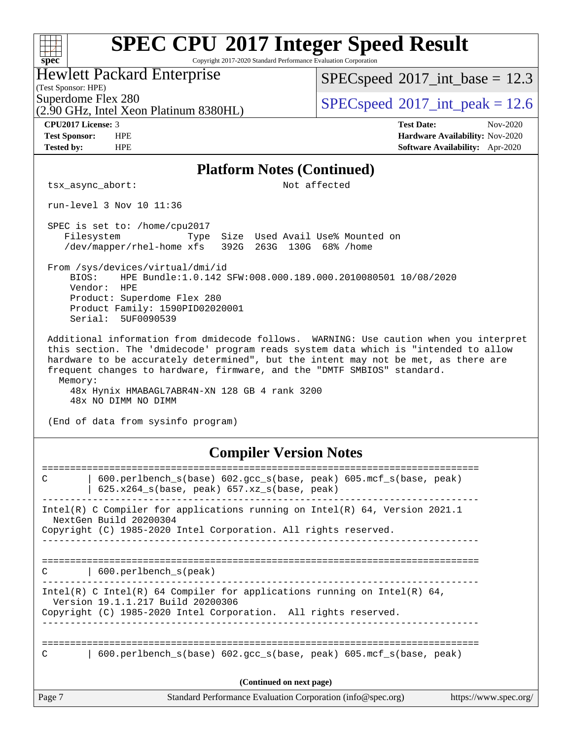| <b>SPEC CPU®2017 Integer Speed Result</b><br>Copyright 2017-2020 Standard Performance Evaluation Corporation                                                                                                                                                                                                                                                                                                                      |                                                                    |
|-----------------------------------------------------------------------------------------------------------------------------------------------------------------------------------------------------------------------------------------------------------------------------------------------------------------------------------------------------------------------------------------------------------------------------------|--------------------------------------------------------------------|
| spec <sup>®</sup><br><b>Hewlett Packard Enterprise</b>                                                                                                                                                                                                                                                                                                                                                                            |                                                                    |
| (Test Sponsor: HPE)                                                                                                                                                                                                                                                                                                                                                                                                               | $SPEC speed^{\circ}2017\_int\_base = 12.3$                         |
| Superdome Flex 280<br>(2.90 GHz, Intel Xeon Platinum 8380HL)                                                                                                                                                                                                                                                                                                                                                                      | $SPEC speed^{\circ}2017\_int\_peak = 12.6$                         |
| CPU2017 License: 3                                                                                                                                                                                                                                                                                                                                                                                                                | <b>Test Date:</b><br>Nov-2020                                      |
| <b>Test Sponsor:</b><br><b>HPE</b><br><b>HPE</b><br><b>Tested by:</b>                                                                                                                                                                                                                                                                                                                                                             | Hardware Availability: Nov-2020<br>Software Availability: Apr-2020 |
| <b>Platform Notes (Continued)</b>                                                                                                                                                                                                                                                                                                                                                                                                 |                                                                    |
| tsx_async_abort:                                                                                                                                                                                                                                                                                                                                                                                                                  | Not affected                                                       |
| run-level 3 Nov 10 11:36                                                                                                                                                                                                                                                                                                                                                                                                          |                                                                    |
| SPEC is set to: /home/cpu2017<br>Filesystem<br>Size Used Avail Use% Mounted on<br>Type<br>/dev/mapper/rhel-home xfs<br>392G<br>263G 130G 68% / home                                                                                                                                                                                                                                                                               |                                                                    |
| From /sys/devices/virtual/dmi/id<br>HPE Bundle:1.0.142 SFW:008.000.189.000.2010080501 10/08/2020<br>BTOS:<br>Vendor:<br>HPE<br>Product: Superdome Flex 280<br>Product Family: 1590PID02020001<br>Serial: 5UF0090539                                                                                                                                                                                                               |                                                                    |
| Additional information from dmidecode follows. WARNING: Use caution when you interpret<br>this section. The 'dmidecode' program reads system data which is "intended to allow<br>hardware to be accurately determined", but the intent may not be met, as there are<br>frequent changes to hardware, firmware, and the "DMTF SMBIOS" standard.<br>Memory:<br>48x Hynix HMABAGL7ABR4N-XN 128 GB 4 rank 3200<br>48x NO DIMM NO DIMM |                                                                    |
| (End of data from sysinfo program)                                                                                                                                                                                                                                                                                                                                                                                                |                                                                    |
| <b>Compiler Version Notes</b>                                                                                                                                                                                                                                                                                                                                                                                                     |                                                                    |
| :=========================<br>600.perlbench_s(base) 602.gcc_s(base, peak) 605.mcf_s(base, peak)<br>C<br>$625.x264_s(base, peak)$ 657.xz_s(base, peak)                                                                                                                                                                                                                                                                             |                                                                    |
| Intel(R) C Compiler for applications running on Intel(R) 64, Version 2021.1<br>NextGen Build 20200304<br>Copyright (C) 1985-2020 Intel Corporation. All rights reserved.                                                                                                                                                                                                                                                          |                                                                    |
| $\vert$ 600.perlbench $s$ (peak)<br>C                                                                                                                                                                                                                                                                                                                                                                                             | --------------------------------------                             |
| Intel(R) C Intel(R) 64 Compiler for applications running on Intel(R) 64,<br>Version 19.1.1.217 Build 20200306<br>Copyright (C) 1985-2020 Intel Corporation. All rights reserved.<br>___________________________________                                                                                                                                                                                                           |                                                                    |
| 600.perlbench_s(base) 602.gcc_s(base, peak) 605.mcf_s(base, peak)<br>С                                                                                                                                                                                                                                                                                                                                                            |                                                                    |
| (Continued on next page)                                                                                                                                                                                                                                                                                                                                                                                                          |                                                                    |
| Page 7<br>Standard Performance Evaluation Corporation (info@spec.org)                                                                                                                                                                                                                                                                                                                                                             | https://www.spec.org/                                              |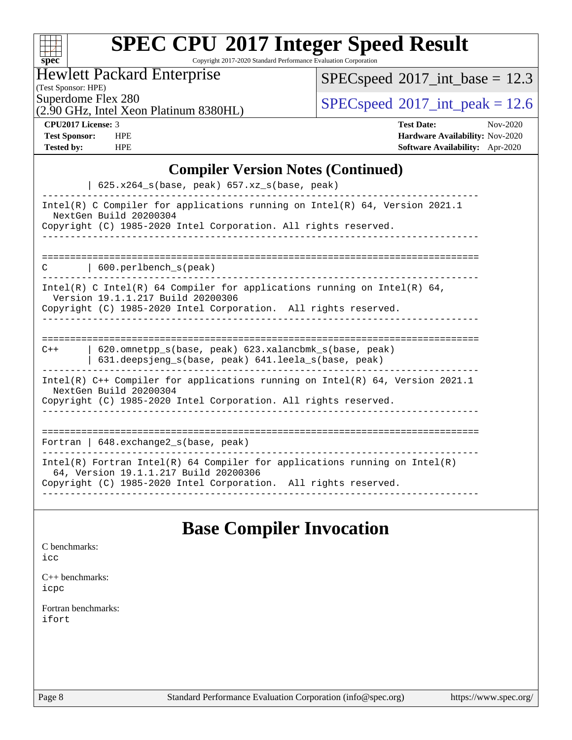| S | Π | E | اق |  |
|---|---|---|----|--|

Copyright 2017-2020 Standard Performance Evaluation Corporation

## Hewlett Packard Enterprise

 $SPEC speed$ <sup>®</sup> $2017$ \_int\_base = 12.3

(Test Sponsor: HPE)

(2.90 GHz, Intel Xeon Platinum 8380HL)

 $SPECspeed^{\circ}2017\_int\_peak = 12.6$  $SPECspeed^{\circ}2017\_int\_peak = 12.6$ 

**[CPU2017 License:](http://www.spec.org/auto/cpu2017/Docs/result-fields.html#CPU2017License)** 3 **[Test Date:](http://www.spec.org/auto/cpu2017/Docs/result-fields.html#TestDate)** Nov-2020 **[Test Sponsor:](http://www.spec.org/auto/cpu2017/Docs/result-fields.html#TestSponsor)** HPE **[Hardware Availability:](http://www.spec.org/auto/cpu2017/Docs/result-fields.html#HardwareAvailability)** Nov-2020 **[Tested by:](http://www.spec.org/auto/cpu2017/Docs/result-fields.html#Testedby)** HPE **[Software Availability:](http://www.spec.org/auto/cpu2017/Docs/result-fields.html#SoftwareAvailability)** Apr-2020

## **[Compiler Version Notes \(Continued\)](http://www.spec.org/auto/cpu2017/Docs/result-fields.html#CompilerVersionNotes)**

| $625.x264_s(base, peak)$ 657.xz <sub>_S</sub> (base, peak)                                                                                                                             |
|----------------------------------------------------------------------------------------------------------------------------------------------------------------------------------------|
| Intel(R) C Compiler for applications running on Intel(R) $64$ , Version 2021.1<br>NextGen Build 20200304<br>Copyright (C) 1985-2020 Intel Corporation. All rights reserved.            |
|                                                                                                                                                                                        |
| $\vert$ 600. perlbench s(peak)<br>C                                                                                                                                                    |
| Intel(R) C Intel(R) 64 Compiler for applications running on Intel(R) 64,<br>Version 19.1.1.217 Build 20200306<br>Copyright (C) 1985-2020 Intel Corporation. All rights reserved.       |
|                                                                                                                                                                                        |
| 620.omnetpp_s(base, peak) 623.xalancbmk_s(base, peak)<br>$C++$<br>631.deepsjeng_s(base, peak) 641.leela_s(base, peak)                                                                  |
| Intel(R) $C++$ Compiler for applications running on Intel(R) 64, Version 2021.1<br>NextGen Build 20200304<br>Copyright (C) 1985-2020 Intel Corporation. All rights reserved.           |
| =================================                                                                                                                                                      |
| Fortran   648. exchange2_s(base, peak)                                                                                                                                                 |
| Intel(R) Fortran Intel(R) 64 Compiler for applications running on Intel(R)<br>64, Version 19.1.1.217 Build 20200306<br>Copyright (C) 1985-2020 Intel Corporation. All rights reserved. |

## **[Base Compiler Invocation](http://www.spec.org/auto/cpu2017/Docs/result-fields.html#BaseCompilerInvocation)**

| C benchmarks:<br>icc         |
|------------------------------|
| $C_{++}$ benchmarks:<br>icpc |
| Fortran benchmarks:<br>ifort |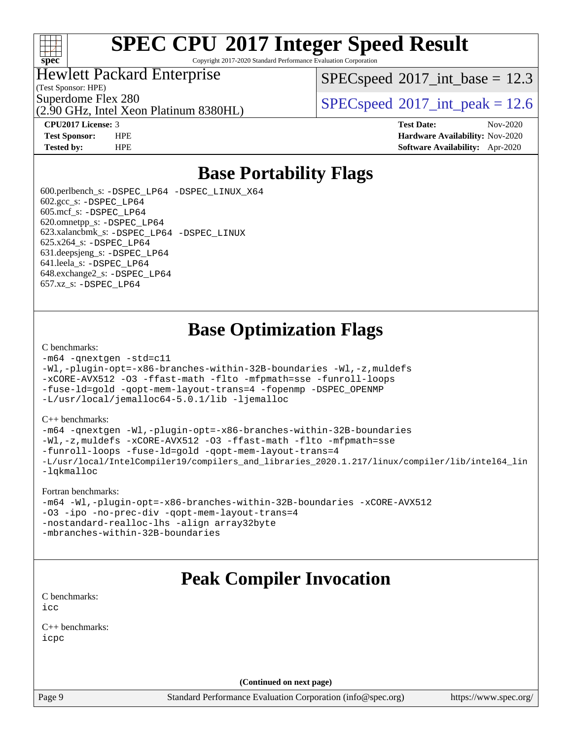

Copyright 2017-2020 Standard Performance Evaluation Corporation

## Hewlett Packard Enterprise

(2.90 GHz, Intel Xeon Platinum 8380HL)

(Test Sponsor: HPE)

 $SPECspeed^{\circ}2017\_int\_base = 12.3$  $SPECspeed^{\circ}2017\_int\_base = 12.3$ 

Superdome Flex 280<br>  $SPEC speed^{\circ}2017$ \_int\_peak = 12.6

**[CPU2017 License:](http://www.spec.org/auto/cpu2017/Docs/result-fields.html#CPU2017License)** 3 **[Test Date:](http://www.spec.org/auto/cpu2017/Docs/result-fields.html#TestDate)** Nov-2020 **[Test Sponsor:](http://www.spec.org/auto/cpu2017/Docs/result-fields.html#TestSponsor)** HPE **[Hardware Availability:](http://www.spec.org/auto/cpu2017/Docs/result-fields.html#HardwareAvailability)** Nov-2020 **[Tested by:](http://www.spec.org/auto/cpu2017/Docs/result-fields.html#Testedby)** HPE **[Software Availability:](http://www.spec.org/auto/cpu2017/Docs/result-fields.html#SoftwareAvailability)** Apr-2020

## **[Base Portability Flags](http://www.spec.org/auto/cpu2017/Docs/result-fields.html#BasePortabilityFlags)**

 600.perlbench\_s: [-DSPEC\\_LP64](http://www.spec.org/cpu2017/results/res2020q4/cpu2017-20201123-24422.flags.html#b600.perlbench_s_basePORTABILITY_DSPEC_LP64) [-DSPEC\\_LINUX\\_X64](http://www.spec.org/cpu2017/results/res2020q4/cpu2017-20201123-24422.flags.html#b600.perlbench_s_baseCPORTABILITY_DSPEC_LINUX_X64) 602.gcc\_s: [-DSPEC\\_LP64](http://www.spec.org/cpu2017/results/res2020q4/cpu2017-20201123-24422.flags.html#suite_basePORTABILITY602_gcc_s_DSPEC_LP64) 605.mcf\_s: [-DSPEC\\_LP64](http://www.spec.org/cpu2017/results/res2020q4/cpu2017-20201123-24422.flags.html#suite_basePORTABILITY605_mcf_s_DSPEC_LP64) 620.omnetpp\_s: [-DSPEC\\_LP64](http://www.spec.org/cpu2017/results/res2020q4/cpu2017-20201123-24422.flags.html#suite_basePORTABILITY620_omnetpp_s_DSPEC_LP64) 623.xalancbmk\_s: [-DSPEC\\_LP64](http://www.spec.org/cpu2017/results/res2020q4/cpu2017-20201123-24422.flags.html#suite_basePORTABILITY623_xalancbmk_s_DSPEC_LP64) [-DSPEC\\_LINUX](http://www.spec.org/cpu2017/results/res2020q4/cpu2017-20201123-24422.flags.html#b623.xalancbmk_s_baseCXXPORTABILITY_DSPEC_LINUX) 625.x264\_s: [-DSPEC\\_LP64](http://www.spec.org/cpu2017/results/res2020q4/cpu2017-20201123-24422.flags.html#suite_basePORTABILITY625_x264_s_DSPEC_LP64) 631.deepsjeng\_s: [-DSPEC\\_LP64](http://www.spec.org/cpu2017/results/res2020q4/cpu2017-20201123-24422.flags.html#suite_basePORTABILITY631_deepsjeng_s_DSPEC_LP64) 641.leela\_s: [-DSPEC\\_LP64](http://www.spec.org/cpu2017/results/res2020q4/cpu2017-20201123-24422.flags.html#suite_basePORTABILITY641_leela_s_DSPEC_LP64) 648.exchange2\_s: [-DSPEC\\_LP64](http://www.spec.org/cpu2017/results/res2020q4/cpu2017-20201123-24422.flags.html#suite_basePORTABILITY648_exchange2_s_DSPEC_LP64) 657.xz\_s: [-DSPEC\\_LP64](http://www.spec.org/cpu2017/results/res2020q4/cpu2017-20201123-24422.flags.html#suite_basePORTABILITY657_xz_s_DSPEC_LP64)

# **[Base Optimization Flags](http://www.spec.org/auto/cpu2017/Docs/result-fields.html#BaseOptimizationFlags)**

### [C benchmarks](http://www.spec.org/auto/cpu2017/Docs/result-fields.html#Cbenchmarks):

```
-m64 -qnextgen -std=c11
-Wl,-plugin-opt=-x86-branches-within-32B-boundaries -Wl,-z,muldefs
-xCORE-AVX512 -O3 -ffast-math -flto -mfpmath=sse -funroll-loops
-fuse-ld=gold -qopt-mem-layout-trans=4 -fopenmp -DSPEC_OPENMP
-L/usr/local/jemalloc64-5.0.1/lib -ljemalloc
```
### [C++ benchmarks:](http://www.spec.org/auto/cpu2017/Docs/result-fields.html#CXXbenchmarks)

[-m64](http://www.spec.org/cpu2017/results/res2020q4/cpu2017-20201123-24422.flags.html#user_CXXbase_m64-icc) [-qnextgen](http://www.spec.org/cpu2017/results/res2020q4/cpu2017-20201123-24422.flags.html#user_CXXbase_f-qnextgen) [-Wl,-plugin-opt=-x86-branches-within-32B-boundaries](http://www.spec.org/cpu2017/results/res2020q4/cpu2017-20201123-24422.flags.html#user_CXXbase_f-x86-branches-within-32B-boundaries_0098b4e4317ae60947b7b728078a624952a08ac37a3c797dfb4ffeb399e0c61a9dd0f2f44ce917e9361fb9076ccb15e7824594512dd315205382d84209e912f3) [-Wl,-z,muldefs](http://www.spec.org/cpu2017/results/res2020q4/cpu2017-20201123-24422.flags.html#user_CXXbase_link_force_multiple1_b4cbdb97b34bdee9ceefcfe54f4c8ea74255f0b02a4b23e853cdb0e18eb4525ac79b5a88067c842dd0ee6996c24547a27a4b99331201badda8798ef8a743f577) [-xCORE-AVX512](http://www.spec.org/cpu2017/results/res2020q4/cpu2017-20201123-24422.flags.html#user_CXXbase_f-xCORE-AVX512) [-O3](http://www.spec.org/cpu2017/results/res2020q4/cpu2017-20201123-24422.flags.html#user_CXXbase_f-O3) [-ffast-math](http://www.spec.org/cpu2017/results/res2020q4/cpu2017-20201123-24422.flags.html#user_CXXbase_f-ffast-math) [-flto](http://www.spec.org/cpu2017/results/res2020q4/cpu2017-20201123-24422.flags.html#user_CXXbase_f-flto) [-mfpmath=sse](http://www.spec.org/cpu2017/results/res2020q4/cpu2017-20201123-24422.flags.html#user_CXXbase_f-mfpmath_70eb8fac26bde974f8ab713bc9086c5621c0b8d2f6c86f38af0bd7062540daf19db5f3a066d8c6684be05d84c9b6322eb3b5be6619d967835195b93d6c02afa1) [-funroll-loops](http://www.spec.org/cpu2017/results/res2020q4/cpu2017-20201123-24422.flags.html#user_CXXbase_f-funroll-loops) [-fuse-ld=gold](http://www.spec.org/cpu2017/results/res2020q4/cpu2017-20201123-24422.flags.html#user_CXXbase_f-fuse-ld_920b3586e2b8c6e0748b9c84fa9b744736ba725a32cab14ad8f3d4ad28eecb2f59d1144823d2e17006539a88734fe1fc08fc3035f7676166309105a78aaabc32) [-qopt-mem-layout-trans=4](http://www.spec.org/cpu2017/results/res2020q4/cpu2017-20201123-24422.flags.html#user_CXXbase_f-qopt-mem-layout-trans_fa39e755916c150a61361b7846f310bcdf6f04e385ef281cadf3647acec3f0ae266d1a1d22d972a7087a248fd4e6ca390a3634700869573d231a252c784941a8) [-L/usr/local/IntelCompiler19/compilers\\_and\\_libraries\\_2020.1.217/linux/compiler/lib/intel64\\_lin](http://www.spec.org/cpu2017/results/res2020q4/cpu2017-20201123-24422.flags.html#user_CXXbase_linkpath_2cb6f503891ebf8baee7515f4e7d4ec1217444d1d05903cc0091ac4158de400651d2b2313a9fa414cb8a8f0e16ab029634f5c6db340f400369c190d4db8a54a0) [-lqkmalloc](http://www.spec.org/cpu2017/results/res2020q4/cpu2017-20201123-24422.flags.html#user_CXXbase_qkmalloc_link_lib_79a818439969f771c6bc311cfd333c00fc099dad35c030f5aab9dda831713d2015205805422f83de8875488a2991c0a156aaa600e1f9138f8fc37004abc96dc5)

### [Fortran benchmarks:](http://www.spec.org/auto/cpu2017/Docs/result-fields.html#Fortranbenchmarks)

```
-m64 -Wl,-plugin-opt=-x86-branches-within-32B-boundaries -xCORE-AVX512
-O3 -ipo -no-prec-div -qopt-mem-layout-trans=4
-nostandard-realloc-lhs -align array32byte
-mbranches-within-32B-boundaries
```
## **[Peak Compiler Invocation](http://www.spec.org/auto/cpu2017/Docs/result-fields.html#PeakCompilerInvocation)**

[C benchmarks](http://www.spec.org/auto/cpu2017/Docs/result-fields.html#Cbenchmarks): [icc](http://www.spec.org/cpu2017/results/res2020q4/cpu2017-20201123-24422.flags.html#user_CCpeak_intel_icc_66fc1ee009f7361af1fbd72ca7dcefbb700085f36577c54f309893dd4ec40d12360134090235512931783d35fd58c0460139e722d5067c5574d8eaf2b3e37e92)

[C++ benchmarks:](http://www.spec.org/auto/cpu2017/Docs/result-fields.html#CXXbenchmarks) [icpc](http://www.spec.org/cpu2017/results/res2020q4/cpu2017-20201123-24422.flags.html#user_CXXpeak_intel_icpc_c510b6838c7f56d33e37e94d029a35b4a7bccf4766a728ee175e80a419847e808290a9b78be685c44ab727ea267ec2f070ec5dc83b407c0218cded6866a35d07)

**(Continued on next page)**

Page 9 Standard Performance Evaluation Corporation [\(info@spec.org\)](mailto:info@spec.org) <https://www.spec.org/>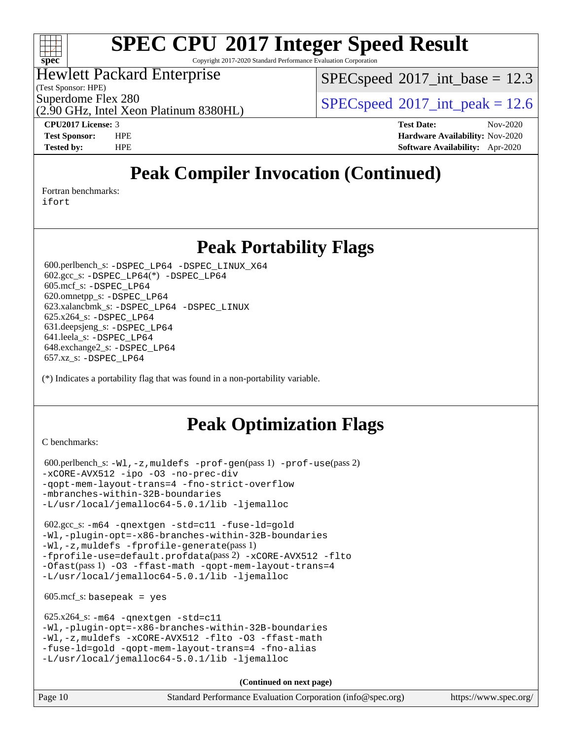

Copyright 2017-2020 Standard Performance Evaluation Corporation

## Hewlett Packard Enterprise

(2.90 GHz, Intel Xeon Platinum 8380HL)

(Test Sponsor: HPE)

 $SPECspeed^{\circ}2017\_int\_base = 12.3$  $SPECspeed^{\circ}2017\_int\_base = 12.3$ 

Superdome Flex 280<br>  $SPEC speed^{\circ}2017$ \_int\_peak = 12.6

**[CPU2017 License:](http://www.spec.org/auto/cpu2017/Docs/result-fields.html#CPU2017License)** 3 **[Test Date:](http://www.spec.org/auto/cpu2017/Docs/result-fields.html#TestDate)** Nov-2020 **[Test Sponsor:](http://www.spec.org/auto/cpu2017/Docs/result-fields.html#TestSponsor)** HPE **[Hardware Availability:](http://www.spec.org/auto/cpu2017/Docs/result-fields.html#HardwareAvailability)** Nov-2020 **[Tested by:](http://www.spec.org/auto/cpu2017/Docs/result-fields.html#Testedby)** HPE **[Software Availability:](http://www.spec.org/auto/cpu2017/Docs/result-fields.html#SoftwareAvailability)** Apr-2020

# **[Peak Compiler Invocation \(Continued\)](http://www.spec.org/auto/cpu2017/Docs/result-fields.html#PeakCompilerInvocation)**

[Fortran benchmarks](http://www.spec.org/auto/cpu2017/Docs/result-fields.html#Fortranbenchmarks):

[ifort](http://www.spec.org/cpu2017/results/res2020q4/cpu2017-20201123-24422.flags.html#user_FCpeak_intel_ifort_8111460550e3ca792625aed983ce982f94888b8b503583aa7ba2b8303487b4d8a21a13e7191a45c5fd58ff318f48f9492884d4413fa793fd88dd292cad7027ca)

## **[Peak Portability Flags](http://www.spec.org/auto/cpu2017/Docs/result-fields.html#PeakPortabilityFlags)**

 600.perlbench\_s: [-DSPEC\\_LP64](http://www.spec.org/cpu2017/results/res2020q4/cpu2017-20201123-24422.flags.html#b600.perlbench_s_peakPORTABILITY_DSPEC_LP64) [-DSPEC\\_LINUX\\_X64](http://www.spec.org/cpu2017/results/res2020q4/cpu2017-20201123-24422.flags.html#b600.perlbench_s_peakCPORTABILITY_DSPEC_LINUX_X64) 602.gcc\_s: [-DSPEC\\_LP64](http://www.spec.org/cpu2017/results/res2020q4/cpu2017-20201123-24422.flags.html#suite_peakCCLD602_gcc_s_DSPEC_LP64)(\*) [-DSPEC\\_LP64](http://www.spec.org/cpu2017/results/res2020q4/cpu2017-20201123-24422.flags.html#suite_peakPORTABILITY602_gcc_s_DSPEC_LP64) 605.mcf\_s: [-DSPEC\\_LP64](http://www.spec.org/cpu2017/results/res2020q4/cpu2017-20201123-24422.flags.html#suite_peakPORTABILITY605_mcf_s_DSPEC_LP64) 620.omnetpp\_s: [-DSPEC\\_LP64](http://www.spec.org/cpu2017/results/res2020q4/cpu2017-20201123-24422.flags.html#suite_peakPORTABILITY620_omnetpp_s_DSPEC_LP64) 623.xalancbmk\_s: [-DSPEC\\_LP64](http://www.spec.org/cpu2017/results/res2020q4/cpu2017-20201123-24422.flags.html#suite_peakPORTABILITY623_xalancbmk_s_DSPEC_LP64) [-DSPEC\\_LINUX](http://www.spec.org/cpu2017/results/res2020q4/cpu2017-20201123-24422.flags.html#b623.xalancbmk_s_peakCXXPORTABILITY_DSPEC_LINUX) 625.x264\_s: [-DSPEC\\_LP64](http://www.spec.org/cpu2017/results/res2020q4/cpu2017-20201123-24422.flags.html#suite_peakPORTABILITY625_x264_s_DSPEC_LP64) 631.deepsjeng\_s: [-DSPEC\\_LP64](http://www.spec.org/cpu2017/results/res2020q4/cpu2017-20201123-24422.flags.html#suite_peakPORTABILITY631_deepsjeng_s_DSPEC_LP64) 641.leela\_s: [-DSPEC\\_LP64](http://www.spec.org/cpu2017/results/res2020q4/cpu2017-20201123-24422.flags.html#suite_peakPORTABILITY641_leela_s_DSPEC_LP64) 648.exchange2\_s: [-DSPEC\\_LP64](http://www.spec.org/cpu2017/results/res2020q4/cpu2017-20201123-24422.flags.html#suite_peakPORTABILITY648_exchange2_s_DSPEC_LP64) 657.xz\_s: [-DSPEC\\_LP64](http://www.spec.org/cpu2017/results/res2020q4/cpu2017-20201123-24422.flags.html#suite_peakPORTABILITY657_xz_s_DSPEC_LP64)

(\*) Indicates a portability flag that was found in a non-portability variable.

# **[Peak Optimization Flags](http://www.spec.org/auto/cpu2017/Docs/result-fields.html#PeakOptimizationFlags)**

[C benchmarks](http://www.spec.org/auto/cpu2017/Docs/result-fields.html#Cbenchmarks):

```
 600.perlbench_s: -Wl,-z,muldefs -prof-gen(pass 1) -prof-use(pass 2)
-xCORE-AVX512 -ipo -O3 -no-prec-div
-qopt-mem-layout-trans=4 -fno-strict-overflow
-mbranches-within-32B-boundaries
-L/usr/local/jemalloc64-5.0.1/lib -ljemalloc
```
 602.gcc\_s: [-m64](http://www.spec.org/cpu2017/results/res2020q4/cpu2017-20201123-24422.flags.html#user_peakCCLD602_gcc_s_m64-icc) [-qnextgen](http://www.spec.org/cpu2017/results/res2020q4/cpu2017-20201123-24422.flags.html#user_peakCCLD602_gcc_s_f-qnextgen) [-std=c11](http://www.spec.org/cpu2017/results/res2020q4/cpu2017-20201123-24422.flags.html#user_peakCCLD602_gcc_s_std-icc-std_0e1c27790398a4642dfca32ffe6c27b5796f9c2d2676156f2e42c9c44eaad0c049b1cdb667a270c34d979996257aeb8fc440bfb01818dbc9357bd9d174cb8524) [-fuse-ld=gold](http://www.spec.org/cpu2017/results/res2020q4/cpu2017-20201123-24422.flags.html#user_peakCCLD602_gcc_s_f-fuse-ld_920b3586e2b8c6e0748b9c84fa9b744736ba725a32cab14ad8f3d4ad28eecb2f59d1144823d2e17006539a88734fe1fc08fc3035f7676166309105a78aaabc32) [-Wl,-plugin-opt=-x86-branches-within-32B-boundaries](http://www.spec.org/cpu2017/results/res2020q4/cpu2017-20201123-24422.flags.html#user_peakLDFLAGS602_gcc_s_f-x86-branches-within-32B-boundaries_0098b4e4317ae60947b7b728078a624952a08ac37a3c797dfb4ffeb399e0c61a9dd0f2f44ce917e9361fb9076ccb15e7824594512dd315205382d84209e912f3) [-Wl,-z,muldefs](http://www.spec.org/cpu2017/results/res2020q4/cpu2017-20201123-24422.flags.html#user_peakEXTRA_LDFLAGS602_gcc_s_link_force_multiple1_b4cbdb97b34bdee9ceefcfe54f4c8ea74255f0b02a4b23e853cdb0e18eb4525ac79b5a88067c842dd0ee6996c24547a27a4b99331201badda8798ef8a743f577) [-fprofile-generate](http://www.spec.org/cpu2017/results/res2020q4/cpu2017-20201123-24422.flags.html#user_peakPASS1_CFLAGSPASS1_LDFLAGS602_gcc_s_fprofile-generate)(pass 1) [-fprofile-use=default.profdata](http://www.spec.org/cpu2017/results/res2020q4/cpu2017-20201123-24422.flags.html#user_peakPASS2_CFLAGSPASS2_LDFLAGS602_gcc_s_fprofile-use_56aeee182b92ec249f9670f17c9b8e7d83fe2d25538e35a2cf64c434b579a2235a8b8fc66ef5678d24461366bbab9d486c870d8a72905233fc08e43eefe3cd80)(pass 2) [-xCORE-AVX512](http://www.spec.org/cpu2017/results/res2020q4/cpu2017-20201123-24422.flags.html#user_peakCOPTIMIZEPASS1_CFLAGSPASS1_LDFLAGS602_gcc_s_f-xCORE-AVX512) [-flto](http://www.spec.org/cpu2017/results/res2020q4/cpu2017-20201123-24422.flags.html#user_peakCOPTIMIZEPASS1_CFLAGSPASS1_LDFLAGS602_gcc_s_f-flto) [-Ofast](http://www.spec.org/cpu2017/results/res2020q4/cpu2017-20201123-24422.flags.html#user_peakPASS1_CFLAGSPASS1_LDFLAGS602_gcc_s_f-Ofast)(pass 1) [-O3](http://www.spec.org/cpu2017/results/res2020q4/cpu2017-20201123-24422.flags.html#user_peakCOPTIMIZE602_gcc_s_f-O3) [-ffast-math](http://www.spec.org/cpu2017/results/res2020q4/cpu2017-20201123-24422.flags.html#user_peakCOPTIMIZE602_gcc_s_f-ffast-math) [-qopt-mem-layout-trans=4](http://www.spec.org/cpu2017/results/res2020q4/cpu2017-20201123-24422.flags.html#user_peakCOPTIMIZE602_gcc_s_f-qopt-mem-layout-trans_fa39e755916c150a61361b7846f310bcdf6f04e385ef281cadf3647acec3f0ae266d1a1d22d972a7087a248fd4e6ca390a3634700869573d231a252c784941a8) [-L/usr/local/jemalloc64-5.0.1/lib](http://www.spec.org/cpu2017/results/res2020q4/cpu2017-20201123-24422.flags.html#user_peakEXTRA_LIBS602_gcc_s_jemalloc_link_path64_1_cc289568b1a6c0fd3b62c91b824c27fcb5af5e8098e6ad028160d21144ef1b8aef3170d2acf0bee98a8da324cfe4f67d0a3d0c4cc4673d993d694dc2a0df248b) [-ljemalloc](http://www.spec.org/cpu2017/results/res2020q4/cpu2017-20201123-24422.flags.html#user_peakEXTRA_LIBS602_gcc_s_jemalloc_link_lib_d1249b907c500fa1c0672f44f562e3d0f79738ae9e3c4a9c376d49f265a04b9c99b167ecedbf6711b3085be911c67ff61f150a17b3472be731631ba4d0471706)

 $605.\text{mcf}\text{ s}:$  basepeak = yes

```
 625.x264_s: -m64 -qnextgen -std=c11
-Wl,-plugin-opt=-x86-branches-within-32B-boundaries
-Wl,-z,muldefs -xCORE-AVX512 -flto -O3 -ffast-math
-fuse-ld=gold -qopt-mem-layout-trans=4 -fno-alias
-L/usr/local/jemalloc64-5.0.1/lib -ljemalloc
```
**(Continued on next page)**